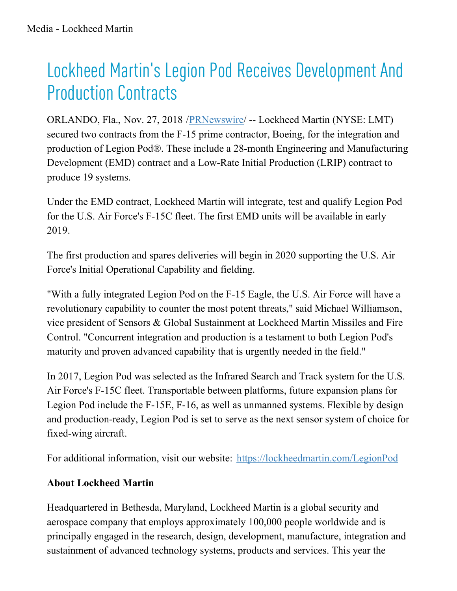## Lockheed Martin ' s Legion Pod Receives Development And **Production Contracts**

ORLANDO, Fla., Nov. 27, 2018 [/PRNewswire](http://www.prnewswire.com/)/ -- Lockheed Martin (NYSE: LMT) secured two contracts from the F-15 prime contractor, Boeing, for the integration and production of Legion Pod®. These include a 28-month Engineering and Manufacturing Development (EMD) contract and a Low-Rate Initial Production (LRIP) contract to produce 19 systems.

Under the EMD contract, Lockheed Martin will integrate, test and qualify Legion Pod for the U.S. Air Force's F-15C fleet. The first EMD units will be available in early 2019.

The first production and spares deliveries will begin in 2020 supporting the U.S. Air Force's Initial Operational Capability and fielding.

"With a fully integrated Legion Pod on the F-15 Eagle, the U.S. Air Force will have a revolutionary capability to counter the most potent threats," said Michael Williamson, vice president of Sensors & Global Sustainment at Lockheed Martin Missiles and Fire Control. "Concurrent integration and production is a testament to both Legion Pod's maturity and proven advanced capability that is urgently needed in the field."

In 2017, Legion Pod was selected as the Infrared Search and Track system for the U.S. Air Force's F-15C fleet. Transportable between platforms, future expansion plans for Legion Pod include the F-15E, F-16, as well as unmanned systems. Flexible by design and production-ready, Legion Pod is set to serve as the next sensor system of choice for fixed-wing aircraft.

For additional information, visit our website: [https://lockheedmartin.com/LegionPod](https://lockheedmartin.com/en-us/products/legion-pod.html)

## **About Lockheed Martin**

Headquartered in Bethesda, Maryland, Lockheed Martin is a global security and aerospace company that employs approximately 100,000 people worldwide and is principally engaged in the research, design, development, manufacture, integration and sustainment of advanced technology systems, products and services. This year the